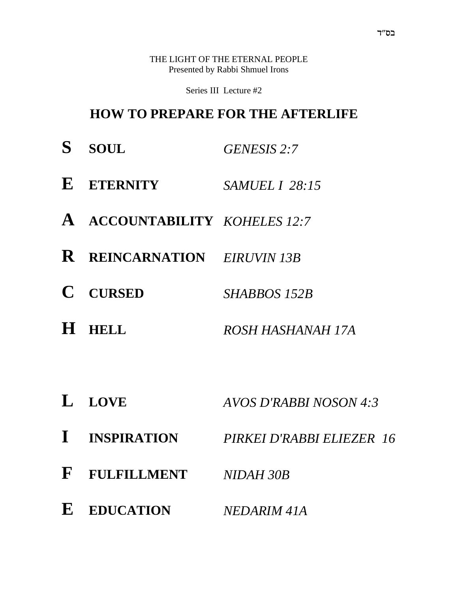THE LIGHT OF THE ETERNAL PEOPLE Presented by Rabbi Shmuel Irons

Series III Lecture #2

### **HOW TO PREPARE FOR THE AFTERLIFE**

- **S SOUL** *GENESIS 2:7*
- **E ETERNITY** *SAMUEL I 28:15*
- **A ACCOUNTABILITY** *KOHELES 12:7*
- **R REINCARNATION** *EIRUVIN 13B*
- **C CURSED** *SHABBOS 152B*
- **H HELL** *ROSH HASHANAH 17A*
- **L LOVE** *AVOS D'RABBI NOSON 4:3*
- **I INSPIRATION** *PIRKEI D'RABBI ELIEZER 16*
- **F FULFILLMENT** *NIDAH 30B*
- **E EDUCATION** *NEDARIM 41A*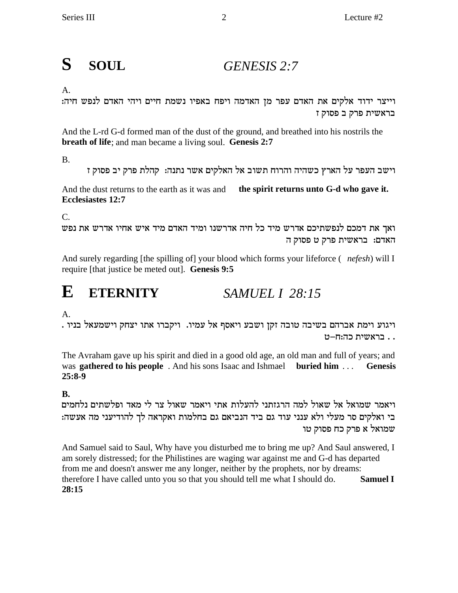#### S **SOUL**  $GENESIS$  2:7

### $A<sub>1</sub>$

וייצר ידוד אלקים את האדם עפר מן האדמה ויפח באפיו נשמת חיים ויהי האדם לנפש חיה: בראשית פרק ב פסוק ז

And the L-rd G-d formed man of the dust of the ground, and breathed into his nostrils the breath of life; and man became a living soul. Genesis 2:7

**B.** 

וישב העפר על הארץ כשהיה והרוח תשוב אל האלקים אשר נתנה: קהלת פרק יב פסוק ז

And the dust returns to the earth as it was and the spirit returns unto G-d who gave it. Ecclesiastes 12:7

 $C$ .

ואך את דמכם לנפשתיכם אדרש מיד כל חיה אדרשנו ומיד האדם מיד איש אחיו אדרש את נפש האדם: בראשית פרק ט פסוק ה

And surely regarding [the spilling of] your blood which forms your lifeforce (*nefesh*) will I require [that justice be meted out]. Genesis 9:5

#### E **ETERNITY**  $SAMUELL 1 28:15$

 $\mathsf{A}$ .

ויגוע וימת אברהם בשיבה טובה זקן ושבע ויאסף אל עמיו. ויקברו אתו יצחק וישמעאל בניו . .. בראשית כה:ח-ט

The Avraham gave up his spirit and died in a good old age, an old man and full of years; and was **gathered to his people**. And his sons Isaac and Ishmael **buried him** ... **Genesis**  $25:8-9$ 

### $\mathbf{R}$

ויאמר שמואל אל שאול למה הרגזתני להעלות אתי ויאמר שאול צר לי מאד ופלשתים נלחמים בי ואלקים סר מעלי ולא ענני עוד גם ביד הנביאם גם בחלמות ואקראה לך להודיעני מה אעשה: שמואל א פרק כח פסוק טו

And Samuel said to Saul, Why have you disturbed me to bring me up? And Saul answered, I am sorely distressed; for the Philistines are waging war against me and G-d has departed from me and doesn't answer me any longer, neither by the prophets, nor by dreams: **Samuel I** therefore I have called unto you so that you should tell me what I should do. 28:15

 $\overline{2}$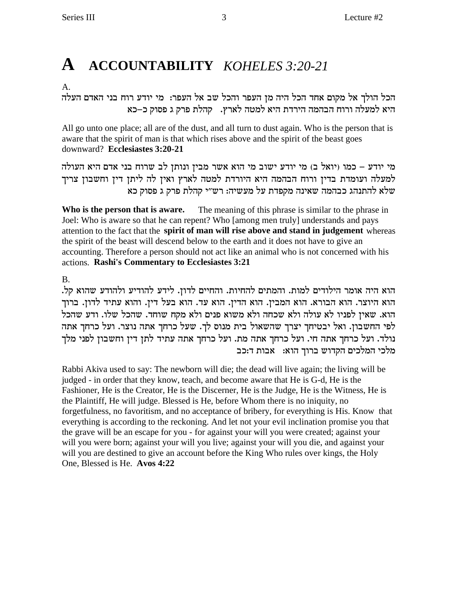## A ACCOUNTABILITY KOHELES 3:20-21

 $A_{\cdot}$ 

הכל הולך אל מקום אחד הכל היה מן העפר והכל שב אל העפר: מי יודע רוח בני האדם העלה היא למעלה ורוח הבהמה הירדת היא למטה לארץ. קהלת פרק ג פסוק כ–כא

All go unto one place; all are of the dust, and all turn to dust again. Who is the person that is aware that the spirit of man is that which rises above and the spirit of the beast goes downward? Ecclesiastes 3:20-21

מי יודע – כמו (יואל ב) מי יודע ישוב מי הוא אשר מבין ונותן לב שרוח בני אדם היא העולה למעלה ועומדת בדין ורוח הבהמה היא היורדת למטה לארץ ואין לה ליתן דין וחשבון צריך שלא להתנהג כבהמה שאינה מקפדת על מעשיה: רש"י קהלת פרק ג פסוק כא

Who is the person that is aware. The meaning of this phrase is similar to the phrase in Joel: Who is aware so that he can repent? Who [among men truly] understands and pays attention to the fact that the spirit of man will rise above and stand in judgement whereas the spirit of the beast will descend below to the earth and it does not have to give an accounting. Therefore a person should not act like an animal who is not concerned with his actions. Rashi's Commentary to Ecclesiastes 3:21

 $\mathbf{B}$ 

הוא היה אומר הילודים למות. והמתים להחיות. והחיים לדון. לידע להודיע ולהודע שהוא קל. הוא היוצר. הוא הבורא. הוא המבין. הוא הדין. הוא עד. הוא בעל דין. והוא עתיד לדון. ברוך הוא. שאין לפניו לא עולה ולא שכחה ולא משוא פנים ולא מקח שוחד. שהכל שלו. ודע שהכל לפי החשבון. ואל יבטיחך יצרך שהשאול בית מנוס לך. שעל כרחך אתה נוצר. ועל כרחך אתה נולד. ועל כרחך אתה חי. ועל כרחך אתה מת. ועל כרחך אתה עתיד לתן דין וחשבון לפני מלך מלכי המלכים הקדוש ברוך הוא: אבות ד:כב

Rabbi Akiva used to say: The newborn will die; the dead will live again; the living will be judged - in order that they know, teach, and become aware that He is G-d, He is the Fashioner, He is the Creator, He is the Discerner, He is the Judge, He is the Witness, He is the Plaintiff, He will judge. Blessed is He, before Whom there is no iniquity, no forgetfulness, no favoritism, and no acceptance of bribery, for everything is His. Know that everything is according to the reckoning. And let not your evil inclination promise you that the grave will be an escape for you - for against your will you were created; against your will you were born; against your will you live; against your will you die, and against your will you are destined to give an account before the King Who rules over kings, the Holy One, Blessed is He. Avos 4:22

3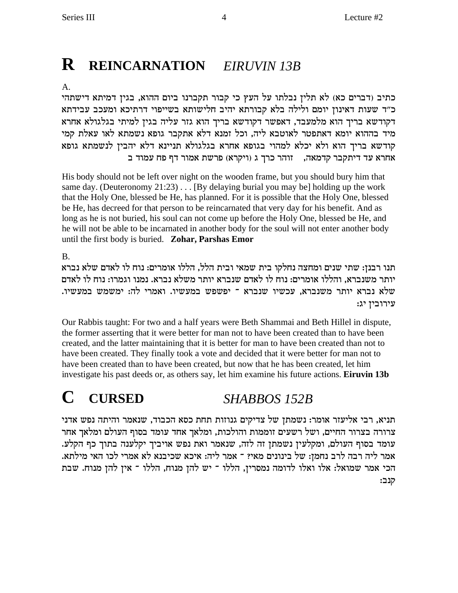## **R REINCARNATION** EIRUVIN 13B

### $A<sub>1</sub>$

כתיב (דברים כא) לא תלין נבלתו על העץ כי קבור תקברנו ביום ההוא, בגין דמיתא דישתהי כ"ד שעות דאינון יומם ולילה בלא קבורתא יהיב חלישותא בשייפוי דרתיכא ומעכב עבידתא דקודשא בריך הוא מלמעבד, דאפשר דקודשא בריך הוא גזר עליה בגין למיתי בגלגולא אחרא מיד בההוא יומא דאתפטר לאוטבא ליה, וכל זמנא דלא אתקבר גופא נשמתא לאו עאלת קמי קודשא בריך הוא ולא יכלא למהוי בגופא אחרא בגלגולא תניינא דלא יהבין לנשמתא גופא אחרא עד דיתקבר קדמאה, | זוהר כרך ג (ויקרא) פרשת אמור דף פח עמוד ב

His body should not be left over night on the wooden frame, but you should bury him that same day. (Deuteronomy  $21:23$ )... [By delaying burial you may be] holding up the work that the Holy One, blessed be He, has planned. For it is possible that the Holy One, blessed be He, has decreed for that person to be reincarnated that very day for his benefit. And as long as he is not buried, his soul can not come up before the Holy One, blessed be He, and he will not be able to be incarnated in another body for the soul will not enter another body until the first body is buried. Zohar, Parshas Emor

**B.** 

תנו רבנן: שתי שנים ומחצה נחלקו בית שמאי ובית הלל, הללו אומרים: נוח לו לאדם שלא נברא יותר משנברא, והללו אומרים: נוח לו לאדם שנברא יותר משלא נברא. נמנו וגמרו: נוח לו לאדם שלא נברא יותר משנברא, עכשיו שנברא ־ יפשפש במעשיו. ואמרי לה: ימשמש במעשיו. עירובין יג:

Our Rabbis taught: For two and a half years were Beth Shammai and Beth Hillel in dispute, the former asserting that it were better for man not to have been created than to have been created, and the latter maintaining that it is better for man to have been created than not to have been created. They finally took a vote and decided that it were better for man not to have been created than to have been created, but now that he has been created, let him investigate his past deeds or, as others say, let him examine his future actions. Eiruvin 13b

#### $\mathbf C$ **CURSED SHABBOS 152B**

תניא, רבי אליעזר אומר: נשמתן של צדיקים גנוזות תחת כסא הכבוד, שנאמר והיתה נפש אדני צרורה בצרור החיים, ושל רשעים זוממות והולכות, ומלאך אחד עומד בסוף העולם ומלאך אחר עומד בסוף העולם, ומקלעין נשמתן זה לזה, שנאמר ואת נפש אויביך יקלענה בתוך כף הקלע. אמר ליה רבה לרב נחמן: של בינונים מאי? ־ אמר ליה: איכא שכיבנא לא אמרי לכו האי מילתא. הכי אמר שמואל: אלו ואלו לדומה נמסרין, הללו ־ יש להן מנוח, הללו ־ אין להן מנוח. שבת קנב: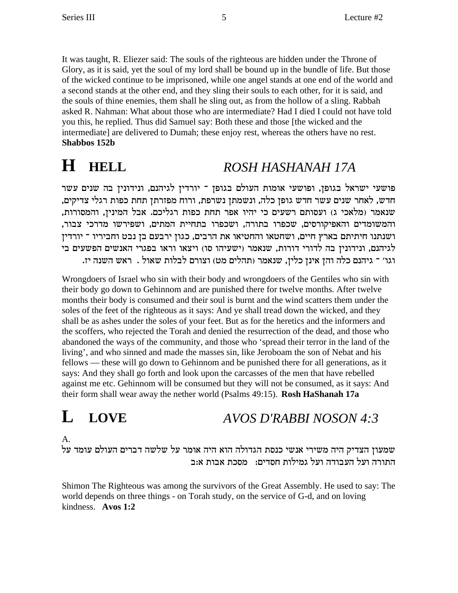It was taught, R. Eliezer said: The souls of the righteous are hidden under the Throne of Glory, as it is said, yet the soul of my lord shall be bound up in the bundle of life. But those of the wicked continue to be imprisoned, while one angel stands at one end of the world and a second stands at the other end, and they sling their souls to each other, for it is said, and the souls of thine enemies, them shall he sling out, as from the hollow of a sling. Rabbah asked R. Nahman: What about those who are intermediate? Had I died I could not have told you this, he replied. Thus did Samuel say: Both these and those [the wicked and the intermediate] are delivered to Dumah; these enjoy rest, whereas the others have no rest. **Shabbos 152b**

# **H HELL** *ROSH HASHANAH 17A*

פושעי ישראל בגופן, ופושעי אומות העולם בגופן ־ יורדין לגיהנם, ונידונין בה שנים עשר חדש, לאחר שנים עשר חדש גופן כלה, ונשמתן נשרפת, ורוח מפזרתן תחת כפות רגלי צדיקים, שנאמר (מלאכי ג) ועסותם רשעים כי יהיו אפר תחת כפות רגליכם. אבל המינין, והמסורות, והמשומדים והאפיקורסים, שכפרו בתורה, ושכפרו בתחיית המתים, ושפירשו מדרכי צבור, ושנתנו חיתיתם בארץ חיים, ושחטאו והחטיאו את הרבים, כגון ירבעם בן נבט וחביריו <sup>-</sup> יורדין לגיהנם, ונידונין בה לדורי דורות, שנאמר (ישעיהו סו) ויצאו וראו בפגרי האנשים הפשעים בי .<br>דגו׳ ־ גיהנם כלה והן אינן כלין, שנאמר (תהלים מט) וצורם לבלות שאול . ראש השנה יז

Wrongdoers of Israel who sin with their body and wrongdoers of the Gentiles who sin with their body go down to Gehinnom and are punished there for twelve months. After twelve months their body is consumed and their soul is burnt and the wind scatters them under the soles of the feet of the righteous as it says: And ye shall tread down the wicked, and they shall be as ashes under the soles of your feet. But as for the heretics and the informers and the scoffers, who rejected the Torah and denied the resurrection of the dead, and those who abandoned the ways of the community, and those who 'spread their terror in the land of the living', and who sinned and made the masses sin, like Jeroboam the son of Nebat and his fellows — these will go down to Gehinnom and be punished there for all generations, as it says: And they shall go forth and look upon the carcasses of the men that have rebelled against me etc. Gehinnom will be consumed but they will not be consumed, as it says: And their form shall wear away the nether world (Psalms 49:15). **Rosh HaShanah 17a**

## **L LOVE** *AVOS D'RABBI NOSON 4:3*

A.

שמעון הצדיק היה משירי אנשי כנסת הגדולה הוא היה אומר על שלשה דברים העולם עומד על התורה ועל העבודה ועל גמילות חסדים: \_ מסכת אבות א:ב

Shimon The Righteous was among the survivors of the Great Assembly. He used to say: The world depends on three things - on Torah study, on the service of G-d, and on loving kindness. **Avos 1:2**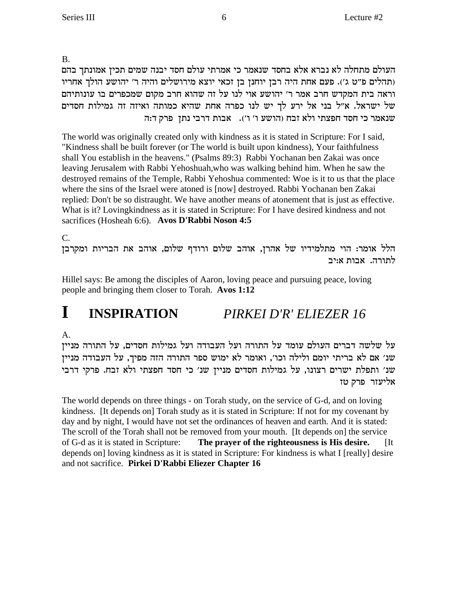B.

העולם מתחלה לא נברא אלא בחסד שנאמר כי אמרתי עולם חסד יבנה שמים תכין אמונתך בהם תהלים פ"ט ג'). פעם אחת היה רבן יוחנן בן זכאי יוצא מירושלים והיה ר' יהושע הולך אחריו וראה בית המקדש חרב אמר ר' יהושע אוי לנו על זה שהוא חרב מקום שמכפרים בו עונותיהם של ישראל. א"ל בני אל ירע לך יש לנו כפרה אחת שהיא כמותה ואיזה זה גמילות חסדים שנאמר כי חסד חפצתי ולא זבח (הושע ו' ו'). אבות דרבי נתן פרק ד:ה

The world was originally created only with kindness as it is stated in Scripture: For I said, "Kindness shall be built forever (or The world is built upon kindness), Your faithfulness shall You establish in the heavens." (Psalms 89:3) Rabbi Yochanan ben Zakai was once leaving Jerusalem with Rabbi Yehoshuah,who was walking behind him. When he saw the destroyed remains of the Temple, Rabbi Yehoshua commented: Woe is it to us that the place where the sins of the Israel were atoned is [now] destroyed. Rabbi Yochanan ben Zakai replied: Don't be so distraught. We have another means of atonement that is just as effective. What is it? Lovingkindness as it is stated in Scripture: For I have desired kindness and not sacrifices (Hosheah 6:6). **Avos D'Rabbi Noson 4:5**

C.

הלל אומר: הוי מתלמידיו של אהרן, אוהב שלום ורודף שלום, אוהב את הבריות ומקרבן לתורה. אבות א:יב

Hillel says: Be among the disciples of Aaron, loving peace and pursuing peace, loving people and bringing them closer to Torah. **Avos 1:12**

## **I INSPIRATION** *PIRKEI D'R' ELIEZER 16*

A.

על שלשה דברים העולם עומד על התורה ועל העבודה ועל גמילות חסדים, על התורה מניין שנ׳ אם לא בריתי יומם ולילה וכו׳, ואומר לא ימוש ספר התורה הזה מפיך, על העבודה מניין שנ׳ ותפלת ישרים רצונו, על גמילות חסדים מניין שנ׳ כי חסד חפצתי ולא זבח. פרקי דרבי אליעזר פרק טז

The world depends on three things - on Torah study, on the service of G-d, and on loving kindness. [It depends on] Torah study as it is stated in Scripture: If not for my covenant by day and by night, I would have not set the ordinances of heaven and earth. And it is stated: The scroll of the Torah shall not be removed from your mouth. [It depends on] the service of G-d as it is stated in Scripture: **The prayer of the righteousness is His desire.** [It depends on] loving kindness as it is stated in Scripture: For kindness is what I [really] desire and not sacrifice. **Pirkei D'Rabbi Eliezer Chapter 16**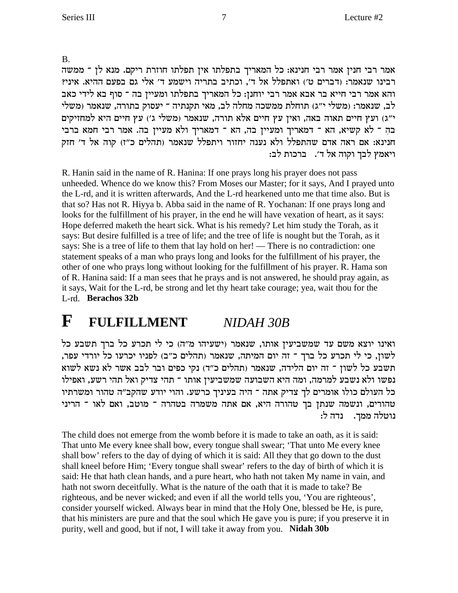**B.** 

אמר רבי חנין אמר רבי חנינא: כל המאריך בתפלתו אין תפלתו חוזרת ריקם. מנא לן ־ ממשה רבינו שנאמר: (דברים ט׳) ואתפלל אל ד׳, וכתיב בתריה וישמע ד׳ אלי גם בפעם ההיא. איני? והא אמר רבי חייא בר אבא אמר רבי יוחנן: כל המאריך בתפלתו ומעיין בה ־ סוף בא לידי כאב לב, שנאמר: (משלי י"ג) תוחלת ממשכה מחלה לב, מאי תקנתיה ־ יעסוק בתורה, שנאמר (משלי י"ג) ועץ חיים תאוה באה, ואין עץ חיים אלא תורה, שנאמר (משלי ג') עץ חיים היא למחזיקים בה ־ לא קשיא, הא ־ דמאריך ומעיין בה, הא ־ דמאריך ולא מעיין בה. אמר רבי חמא ברבי חנינא: אם ראה אדם שהתפלל ולא נענה יחזור ויתפלל שנאמר (תהלים כ"ז) קוה אל ד' חזק ויאמץ לבך וקוה אל ד׳. ברכות לב:

R. Hanin said in the name of R. Hanina: If one prays long his prayer does not pass unheeded. Whence do we know this? From Moses our Master; for it says, And I prayed unto the L-rd, and it is written afterwards, And the L-rd hearkened unto me that time also. But is that so? Has not R. Hiyya b. Abba said in the name of R. Yochanan: If one prays long and looks for the fulfillment of his prayer, in the end he will have vexation of heart, as it says: Hope deferred maketh the heart sick. What is his remedy? Let him study the Torah, as it says: But desire fulfilled is a tree of life; and the tree of life is nought but the Torah, as it says: She is a tree of life to them that lay hold on her! — There is no contradiction: one statement speaks of a man who prays long and looks for the fulfillment of his prayer, the other of one who prays long without looking for the fulfillment of his prayer. R. Hama son of R. Hanina said: If a man sees that he prays and is not answered, he should pray again, as it says, Wait for the L-rd, be strong and let thy heart take courage; yea, wait thou for the L-rd. Berachos 32b

#### F **FULFILLMENT** NIDAH 30B

ואינו יוצא משם עד שמשביעין אותו, שנאמר (ישעיהו מ"ה) כי לי תכרע כל ברך תשבע כל לשון, כי לי תכרע כל ברך ־ זה יום המיתה, שנאמר (תהלים כ"ב) לפניו יכרעו כל יורדי עפר, תשבע כל לשון ־ זה יום הלידה, שנאמר (תהלים כ"ד) נקי כפים ובר לבב אשר לא נשא לשוא נפשו ולא נשבע למרמה, ומה היא השבועה שמשביעין אותו ־ תהי צדיק ואל תהי רשע, ואפילו כל העולם כולו אומרים לך צדיק אתה ־ היה בעיניך כרשע. והוי יודע שהקב"ה טהור ומשרתיו טהורים, ונשמה שנתן בך טהורה היא, אם אתה משמרה בטהרה ־ מוטב, ואם לאו ־ הריני נדה ל: נוטלה ממך.

The child does not emerge from the womb before it is made to take an oath, as it is said: That unto Me every knee shall bow, every tongue shall swear; 'That unto Me every knee shall bow' refers to the day of dying of which it is said: All they that go down to the dust shall kneel before Him; 'Every tongue shall swear' refers to the day of birth of which it is said: He that hath clean hands, and a pure heart, who hath not taken My name in vain, and hath not sworn deceitfully. What is the nature of the oath that it is made to take? Be righteous, and be never wicked; and even if all the world tells you, 'You are righteous', consider yourself wicked. Always bear in mind that the Holy One, blessed be He, is pure, that his ministers are pure and that the soul which He gave you is pure; if you preserve it in purity, well and good, but if not, I will take it away from you. Nidah 30b